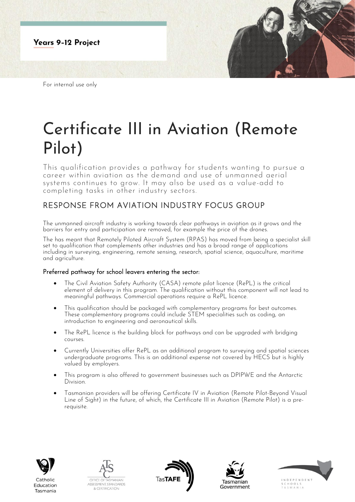

For internal use only

## Certificate III in Aviation (Remote Pilot)

This qualification provides a pathway for students wanting to pursue a career within aviation as the demand and use of unmanned aerial systems continues to grow. It may also be used as a value-add to completing tasks in other industry sectors.

## RESPONSE FROM AVIATION INDUSTRY FOCUS GROUP

The unmanned aircraft industry is working towards clear pathways in aviation as it grows and the barriers for entry and participation are removed, for example the price of the drones.

The has meant that Remotely Piloted Aircraft System (RPAS) has moved from being a specialist skill set to qualification that complements other industries and has a broad range of applications including in surveying, engineering, remote sensing, research, spatial science, aquaculture, maritime and agriculture.

## Preferred pathway for school leavers entering the sector:

- The Civil Aviation Safety Authority (CASA) remote pilot licence (RePL) is the critical element of delivery in this program. The qualification without this component will not lead to meaningful pathways. Commercial operations require a RePL licence.
- This qualification should be packaged with complementary programs for best outcomes. These complementary programs could include STEM specialities such as coding, an introduction to engineering and aeronautical skills.
- The RePL licence is the building block for pathways and can be upgraded with bridging courses.
- Currently Universities offer RePL as an additional program to surveying and spatial sciences undergraduate programs. This is an additional expense not covered by HECS but is highly valued by employers.
- This program is also offered to government businesses such as DPIPWE and the Antarctic Division.
- Tasmanian providers will be offering Certificate IV in Aviation (Remote Pilot-Beyond Visual Line of Sight) in the future, of which, the Certificate III in Aviation (Remote Pilot) is a prerequisite.



Education

Tasmania